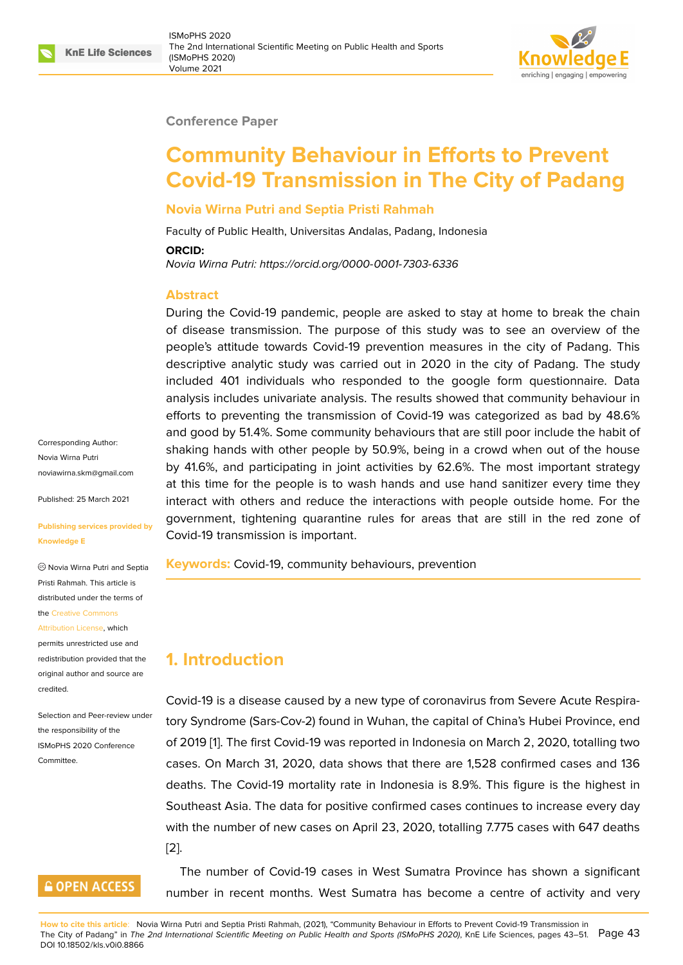#### **Conference Paper**

# **Community Behaviour in Efforts to Prevent Covid-19 Transmission in The City of Padang**

#### **Novia Wirna Putri and Septia Pristi Rahmah**

Faculty of Public Health, Universitas Andalas, Padang, Indonesia

#### **ORCID:**

*Novia Wirna Putri: https://orcid.org/0000-0001-7303-6336*

#### **Abstract**

During the Covi[d-19 pandemic, people are asked to](https://orcid.org/0000-0001-7303-6336) stay at home to break the chain of disease transmission. The purpose of this study was to see an overview of the people's attitude towards Covid-19 prevention measures in the city of Padang. This descriptive analytic study was carried out in 2020 in the city of Padang. The study included 401 individuals who responded to the google form questionnaire. Data analysis includes univariate analysis. The results showed that community behaviour in efforts to preventing the transmission of Covid-19 was categorized as bad by 48.6% and good by 51.4%. Some community behaviours that are still poor include the habit of shaking hands with other people by 50.9%, being in a crowd when out of the house by 41.6%, and participating in joint activities by 62.6%. The most important strategy at this time for the people is to wash hands and use hand sanitizer every time they interact with others and reduce the interactions with people outside home. For the government, tightening quarantine rules for areas that are still in the red zone of Covid-19 transmission is important.

**Keywords:** Covid-19, community behaviours, prevention

# **1. Introduction**

Covid-19 is a disease caused by a new type of coronavirus from Severe Acute Respiratory Syndrome (Sars-Cov-2) found in Wuhan, the capital of China's Hubei Province, end of 2019 [1]. The first Covid-19 was reported in Indonesia on March 2, 2020, totalling two cases. On March 31, 2020, data shows that there are 1,528 confirmed cases and 136 deaths. The Covid-19 mortality rate in Indonesia is 8.9%. This figure is the highest in Southea[s](#page-7-0)t Asia. The data for positive confirmed cases continues to increase every day with the number of new cases on April 23, 2020, totalling 7.775 cases with 647 deaths [2].

The number of Covid-19 cases in West Sumatra Province has shown a significant [nu](#page-7-1)mber in recent months. West Sumatra has become a centre of activity and very

Corresponding Author: Novia Wirna Putri noviawirna.skm@gmail.com

Published: 25 March 2021

#### **[Publishing services provide](mailto:noviawirna.skm@gmail.com)d by Knowledge E**

Novia Wirna Putri and Septia Pristi Rahmah. This article is distributed under the terms of the Creative Commons

#### Attribution License, which

permits unrestricted use and redistribution provided that the orig[inal author and sou](https://creativecommons.org/licenses/by/4.0/)rce are [credited.](https://creativecommons.org/licenses/by/4.0/)

#### Selection and Peer-review under the responsibility of the ISMoPHS 2020 Conference **Committee**

# **GOPEN ACCESS**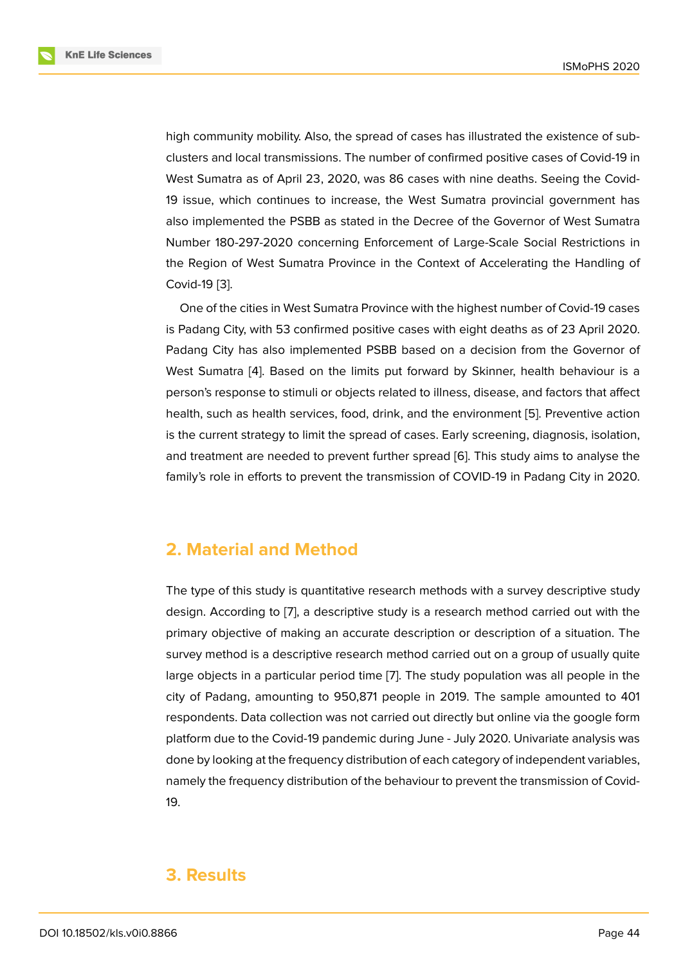high community mobility. Also, the spread of cases has illustrated the existence of subclusters and local transmissions. The number of confirmed positive cases of Covid-19 in West Sumatra as of April 23, 2020, was 86 cases with nine deaths. Seeing the Covid-19 issue, which continues to increase, the West Sumatra provincial government has also implemented the PSBB as stated in the Decree of the Governor of West Sumatra Number 180-297-2020 concerning Enforcement of Large-Scale Social Restrictions in the Region of West Sumatra Province in the Context of Accelerating the Handling of Covid-19 [3].

One of the cities in West Sumatra Province with the highest number of Covid-19 cases is Padang City, with 53 confirmed positive cases with eight deaths as of 23 April 2020. Padang [Cit](#page-7-2)y has also implemented PSBB based on a decision from the Governor of West Sumatra [4]. Based on the limits put forward by Skinner, health behaviour is a person's response to stimuli or objects related to illness, disease, and factors that affect health, such as health services, food, drink, and the environment [5]. Preventive action is the current st[ra](#page-7-3)tegy to limit the spread of cases. Early screening, diagnosis, isolation, and treatment are needed to prevent further spread [6]. This study aims to analyse the family's role in efforts to prevent the transmission of COVID-19 in [Pa](#page-7-4)dang City in 2020.

# **2. Material and Method**

The type of this study is quantitative research methods with a survey descriptive study design. According to [7], a descriptive study is a research method carried out with the primary objective of making an accurate description or description of a situation. The survey method is a descriptive research method carried out on a group of usually quite large objects in a part[ic](#page-7-5)ular period time [7]. The study population was all people in the city of Padang, amounting to 950,871 people in 2019. The sample amounted to 401 respondents. Data collection was not carried out directly but online via the google form platform due to the Covid-19 pandemic d[ur](#page-7-5)ing June - July 2020. Univariate analysis was done by looking at the frequency distribution of each category of independent variables, namely the frequency distribution of the behaviour to prevent the transmission of Covid-19.

### **3. Results**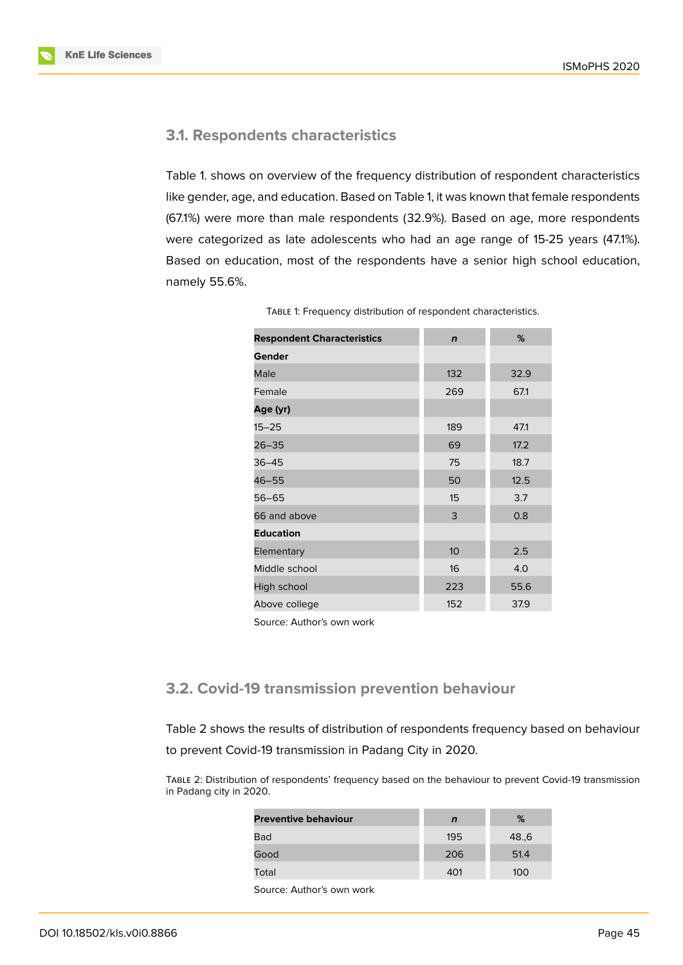

### **3.1. Respondents characteristics**

Table 1. shows on overview of the frequency distribution of respondent characteristics like gender, age, and education. Based on Table 1, it was known that female respondents (67.1%) were more than male respondents (32.9%). Based on age, more respondents were categorized as late adolescents who had an age range of 15-25 years (47.1%). Based on education, most of the respondents have a senior high school education, namely 55.6%.

| <b>Respondent Characteristics</b> | $\mathbf n$      | %    |  |
|-----------------------------------|------------------|------|--|
| Gender                            |                  |      |  |
| Male                              | 132              | 32.9 |  |
| Female                            | 269              | 67.1 |  |
| Age (yr)                          |                  |      |  |
| $15 - 25$                         | 189              | 47.1 |  |
| $26 - 35$                         | 69               | 17.2 |  |
| $36 - 45$                         | 75               | 18.7 |  |
| 46-55                             | 50               | 12.5 |  |
| $56 - 65$                         | 15               | 3.7  |  |
| 66 and above                      | 3                | 0.8  |  |
| <b>Education</b>                  |                  |      |  |
| Elementary                        | 10 <sup>10</sup> | 2.5  |  |
| Middle school                     | 16               | 4.0  |  |
| High school                       | 223              | 55.6 |  |
| Above college                     | 152              | 37.9 |  |

TABLE 1: Frequency distribution of respondent characteristics.

Source: Author's own work

### **3.2. Covid-19 transmission prevention behaviour**

Table 2 shows the results of distribution of respondents frequency based on behaviour to prevent Covid-19 transmission in Padang City in 2020.

TABLE 2: Distribution of respondents' frequency based on the behaviour to prevent Covid-19 transmission in Padang city in 2020.

| <b>Preventive behaviour</b> | n   | %    |
|-----------------------------|-----|------|
| Bad                         | 195 | 48.6 |
| Good                        | 206 | 51.4 |
| Total                       | 401 | 100  |
|                             |     |      |

Source: Author's own work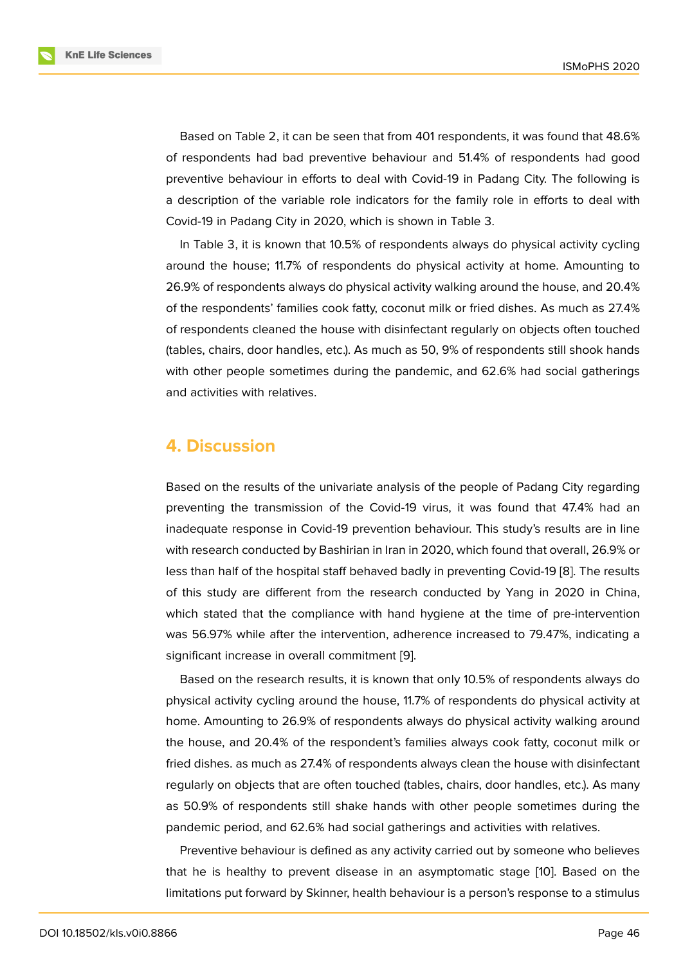Based on Table 2, it can be seen that from 401 respondents, it was found that 48.6% of respondents had bad preventive behaviour and 51.4% of respondents had good preventive behaviour in efforts to deal with Covid-19 in Padang City. The following is a description of the variable role indicators for the family role in efforts to deal with Covid-19 in Padang City in 2020, which is shown in Table 3.

In Table 3, it is known that 10.5% of respondents always do physical activity cycling around the house; 11.7% of respondents do physical activity at home. Amounting to 26.9% of respondents always do physical activity walking around the house, and 20.4% of the respondents' families cook fatty, coconut milk or fried dishes. As much as 27.4% of respondents cleaned the house with disinfectant regularly on objects often touched (tables, chairs, door handles, etc.). As much as 50, 9% of respondents still shook hands with other people sometimes during the pandemic, and 62.6% had social gatherings and activities with relatives.

### **4. Discussion**

Based on the results of the univariate analysis of the people of Padang City regarding preventing the transmission of the Covid-19 virus, it was found that 47.4% had an inadequate response in Covid-19 prevention behaviour. This study's results are in line with research conducted by Bashirian in Iran in 2020, which found that overall, 26.9% or less than half of the hospital staff behaved badly in preventing Covid-19 [8]. The results of this study are different from the research conducted by Yang in 2020 in China, which stated that the compliance with hand hygiene at the time of pre-intervention was 56.97% while after the intervention, adherence increased to 79.47[%,](#page-7-6) indicating a significant increase in overall commitment [9].

Based on the research results, it is known that only 10.5% of respondents always do physical activity cycling around the house, 11.7% of respondents do physical activity at home. Amounting to 26.9% of respondents [a](#page-7-7)lways do physical activity walking around the house, and 20.4% of the respondent's families always cook fatty, coconut milk or fried dishes. as much as 27.4% of respondents always clean the house with disinfectant regularly on objects that are often touched (tables, chairs, door handles, etc.). As many as 50.9% of respondents still shake hands with other people sometimes during the pandemic period, and 62.6% had social gatherings and activities with relatives.

Preventive behaviour is defined as any activity carried out by someone who believes that he is healthy to prevent disease in an asymptomatic stage [10]. Based on the limitations put forward by Skinner, health behaviour is a person's response to a stimulus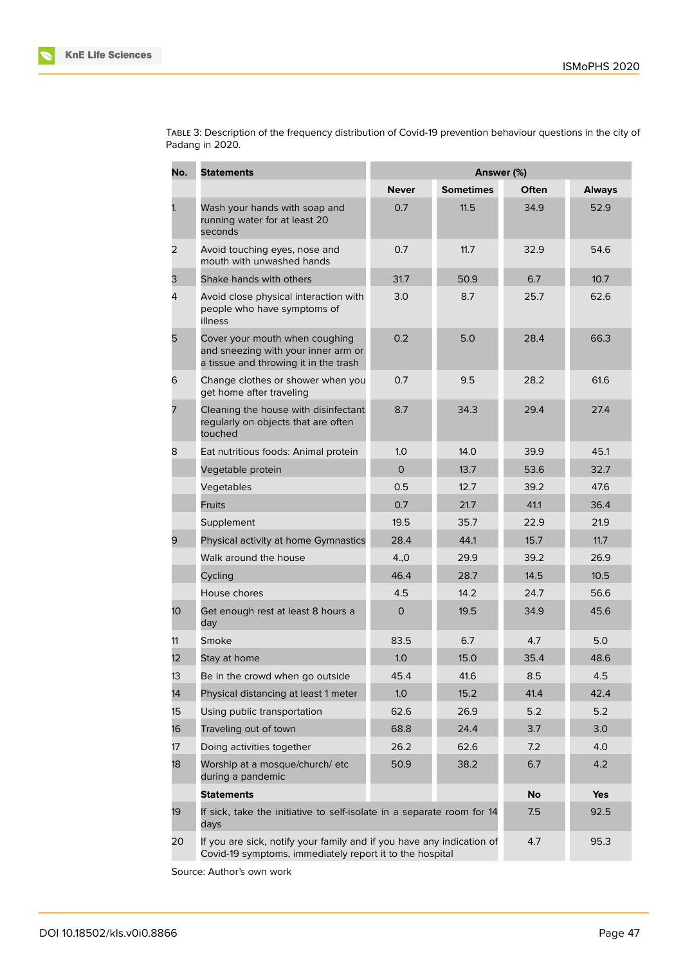| No.            | <b>Statements</b>                                                                                                                 | Answer (%)     |                  |           |               |  |
|----------------|-----------------------------------------------------------------------------------------------------------------------------------|----------------|------------------|-----------|---------------|--|
|                |                                                                                                                                   | <b>Never</b>   | <b>Sometimes</b> | Often     | <b>Always</b> |  |
| 1.             | Wash your hands with soap and<br>running water for at least 20<br>seconds                                                         | 0.7            | 11.5             | 34.9      | 52.9          |  |
| $\overline{2}$ | Avoid touching eyes, nose and<br>mouth with unwashed hands                                                                        | 0.7            | 11.7             | 32.9      | 54.6          |  |
| З              | Shake hands with others                                                                                                           | 31.7           | 50.9             | 6.7       | 10.7          |  |
| 4              | Avoid close physical interaction with<br>people who have symptoms of<br>illness                                                   | 3.0            | 8.7              | 25.7      | 62.6          |  |
| 5              | Cover your mouth when coughing<br>and sneezing with your inner arm or<br>a tissue and throwing it in the trash                    | 0.2            | 5.0              | 28.4      | 66.3          |  |
| 6              | Change clothes or shower when you<br>get home after traveling                                                                     | 0.7            | 9.5              | 28.2      | 61.6          |  |
| 7              | Cleaning the house with disinfectant<br>regularly on objects that are often<br>touched                                            | 8.7            | 34.3             | 29.4      | 27.4          |  |
| 8              | Eat nutritious foods: Animal protein                                                                                              | 1.0            | 14.0             | 39.9      | 45.1          |  |
|                | Vegetable protein                                                                                                                 | $\overline{O}$ | 13.7             | 53.6      | 32.7          |  |
|                | Vegetables                                                                                                                        | 0.5            | 12.7             | 39.2      | 47.6          |  |
|                | <b>Fruits</b>                                                                                                                     | 0.7            | 21.7             | 41.1      | 36.4          |  |
|                | Supplement                                                                                                                        | 19.5           | 35.7             | 22.9      | 21.9          |  |
| 9              | Physical activity at home Gymnastics                                                                                              | 28.4           | 44.1             | 15.7      | 11.7          |  |
|                | Walk around the house                                                                                                             | 4,0            | 29.9             | 39.2      | 26.9          |  |
|                | Cycling                                                                                                                           | 46.4           | 28.7             | 14.5      | 10.5          |  |
|                | House chores                                                                                                                      | 4.5            | 14.2             | 24.7      | 56.6          |  |
| 10             | Get enough rest at least 8 hours a<br>day                                                                                         | 0              | 19.5             | 34.9      | 45.6          |  |
| 11             | Smoke                                                                                                                             | 83.5           | 6.7              | 4.7       | 5.0           |  |
| 12             | Stay at home                                                                                                                      | 1.0            | 15.0             | 35.4      | 48.6          |  |
| 13             | Be in the crowd when go outside                                                                                                   | 45.4           | 41.6             | 8.5       | 4.5           |  |
| 14             | Physical distancing at least 1 meter                                                                                              | 1.0            | 15.2             | 41.4      | 42.4          |  |
| 15             | Using public transportation                                                                                                       | 62.6           | 26.9             | 5.2       | 5.2           |  |
| 16             | Traveling out of town                                                                                                             | 68.8           | 24.4             | 3.7       | 3.0           |  |
| 17             | Doing activities together                                                                                                         | 26.2           | 62.6             | 7.2       | 4.0           |  |
| 18             | Worship at a mosque/church/ etc<br>during a pandemic                                                                              | 50.9           | 38.2             | 6.7       | 4.2           |  |
|                | <b>Statements</b>                                                                                                                 |                |                  | <b>No</b> | Yes           |  |
| 19             | If sick, take the initiative to self-isolate in a separate room for 14<br>days                                                    |                |                  | 7.5       | 92.5          |  |
| 20             | If you are sick, notify your family and if you have any indication of<br>Covid-19 symptoms, immediately report it to the hospital |                |                  | 4.7       | 95.3          |  |

TABLE 3: Description of the frequency distribution of Covid-19 prevention behaviour questions in the city of Padang in 2020.

Source: Author's own work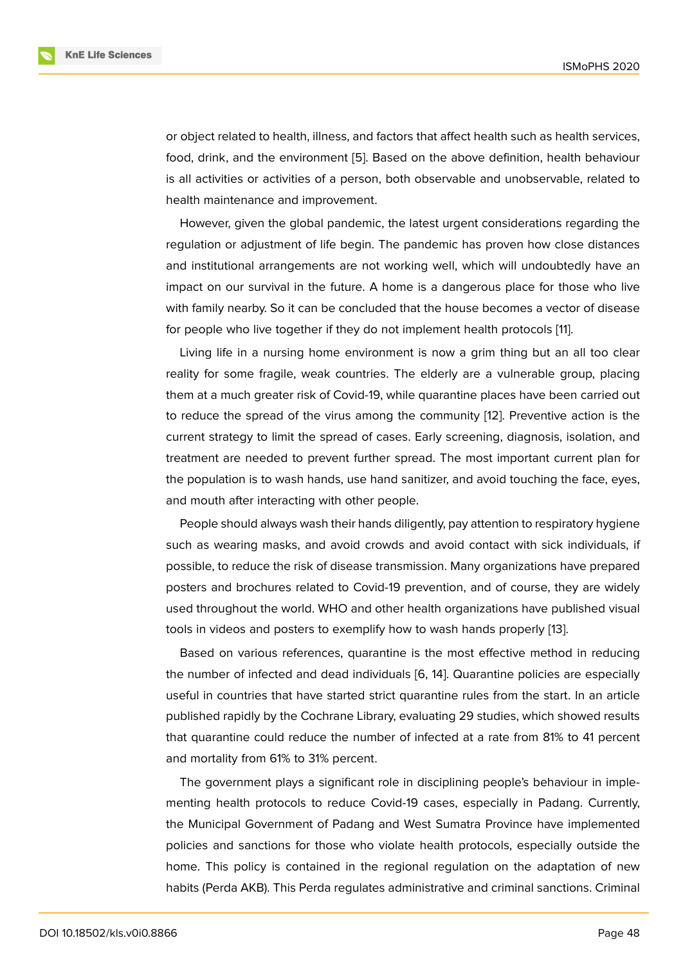or object related to health, illness, and factors that affect health such as health services, food, drink, and the environment [5]. Based on the above definition, health behaviour is all activities or activities of a person, both observable and unobservable, related to health maintenance and improvement.

However, given the global pand[e](#page-7-4)mic, the latest urgent considerations regarding the regulation or adjustment of life begin. The pandemic has proven how close distances and institutional arrangements are not working well, which will undoubtedly have an impact on our survival in the future. A home is a dangerous place for those who live with family nearby. So it can be concluded that the house becomes a vector of disease for people who live together if they do not implement health protocols [11].

Living life in a nursing home environment is now a grim thing but an all too clear reality for some fragile, weak countries. The elderly are a vulnerable group, placing them at a much greater risk of Covid-19, while quarantine places have b[ee](#page-7-8)n carried out to reduce the spread of the virus among the community [12]. Preventive action is the current strategy to limit the spread of cases. Early screening, diagnosis, isolation, and treatment are needed to prevent further spread. The most important current plan for the population is to wash hands, use hand sanitizer, and a[voi](#page-8-0)d touching the face, eyes, and mouth after interacting with other people.

People should always wash their hands diligently, pay attention to respiratory hygiene such as wearing masks, and avoid crowds and avoid contact with sick individuals, if possible, to reduce the risk of disease transmission. Many organizations have prepared posters and brochures related to Covid-19 prevention, and of course, they are widely used throughout the world. WHO and other health organizations have published visual tools in videos and posters to exemplify how to wash hands properly [13].

Based on various references, quarantine is the most effective method in reducing the number of infected and dead individuals [6, 14]. Quarantine policies are especially useful in countries that have started strict quarantine rules from the s[tar](#page-8-1)t. In an article published rapidly by the Cochrane Library, evaluating 29 studies, which showed results that quarantine could reduce the number of i[nf](#page-7-9)[ect](#page-8-2)ed at a rate from 81% to 41 percent and mortality from 61% to 31% percent.

The government plays a significant role in disciplining people's behaviour in implementing health protocols to reduce Covid-19 cases, especially in Padang. Currently, the Municipal Government of Padang and West Sumatra Province have implemented policies and sanctions for those who violate health protocols, especially outside the home. This policy is contained in the regional regulation on the adaptation of new habits (Perda AKB). This Perda regulates administrative and criminal sanctions. Criminal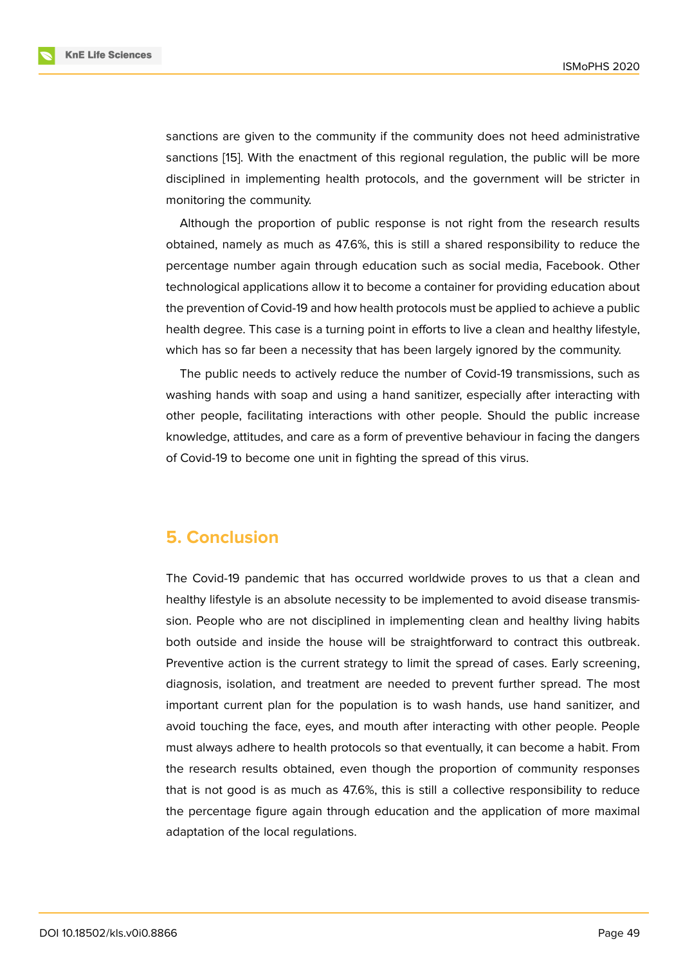sanctions are given to the community if the community does not heed administrative sanctions [15]. With the enactment of this regional regulation, the public will be more disciplined in implementing health protocols, and the government will be stricter in monitoring the community.

Althoug[h t](#page-8-3)he proportion of public response is not right from the research results obtained, namely as much as 47.6%, this is still a shared responsibility to reduce the percentage number again through education such as social media, Facebook. Other technological applications allow it to become a container for providing education about the prevention of Covid-19 and how health protocols must be applied to achieve a public health degree. This case is a turning point in efforts to live a clean and healthy lifestyle, which has so far been a necessity that has been largely ignored by the community.

The public needs to actively reduce the number of Covid-19 transmissions, such as washing hands with soap and using a hand sanitizer, especially after interacting with other people, facilitating interactions with other people. Should the public increase knowledge, attitudes, and care as a form of preventive behaviour in facing the dangers of Covid-19 to become one unit in fighting the spread of this virus.

### **5. Conclusion**

The Covid-19 pandemic that has occurred worldwide proves to us that a clean and healthy lifestyle is an absolute necessity to be implemented to avoid disease transmission. People who are not disciplined in implementing clean and healthy living habits both outside and inside the house will be straightforward to contract this outbreak. Preventive action is the current strategy to limit the spread of cases. Early screening, diagnosis, isolation, and treatment are needed to prevent further spread. The most important current plan for the population is to wash hands, use hand sanitizer, and avoid touching the face, eyes, and mouth after interacting with other people. People must always adhere to health protocols so that eventually, it can become a habit. From the research results obtained, even though the proportion of community responses that is not good is as much as 47.6%, this is still a collective responsibility to reduce the percentage figure again through education and the application of more maximal adaptation of the local regulations.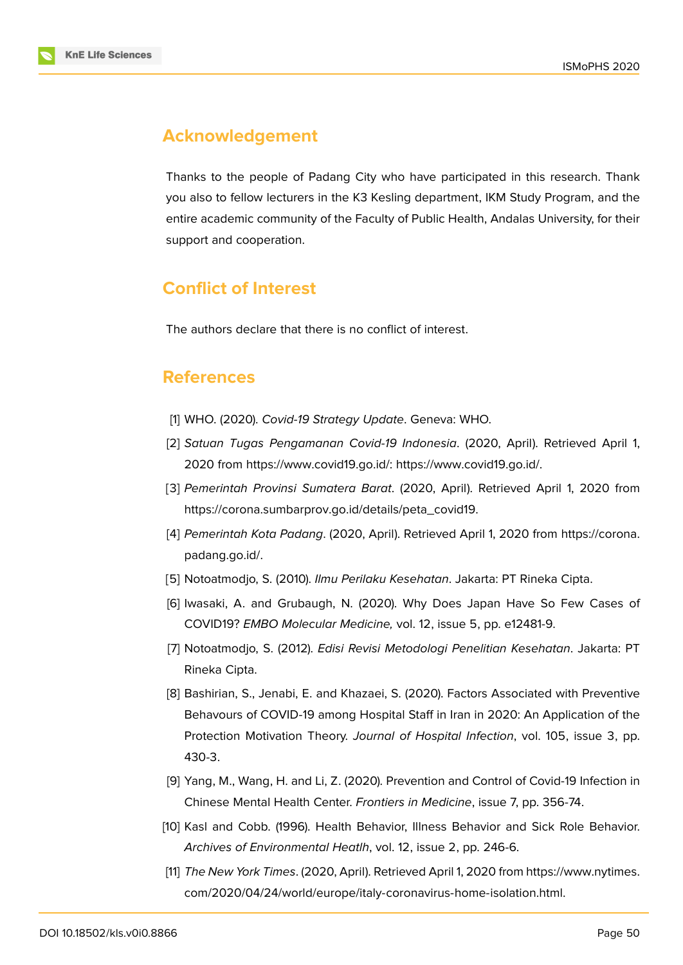# **Acknowledgement**

Thanks to the people of Padang City who have participated in this research. Thank you also to fellow lecturers in the K3 Kesling department, IKM Study Program, and the entire academic community of the Faculty of Public Health, Andalas University, for their support and cooperation.

# **Conflict of Interest**

The authors declare that there is no conflict of interest.

### **References**

- [1] WHO. (2020). *Covid-19 Strategy Update*. Geneva: WHO.
- <span id="page-7-0"></span>[2] *Satuan Tugas Pengamanan Covid-19 Indonesia*. (2020, April). Retrieved April 1, 2020 from https://www.covid19.go.id/: https://www.covid19.go.id/.
- <span id="page-7-1"></span>[3] *Pemerintah Provinsi Sumatera Barat*. (2020, April). Retrieved April 1, 2020 from https://corona.sumbarprov.go.id/details/peta\_covid19.
- <span id="page-7-2"></span>[4] *Pemerinta[h Kota Padang](https://www.covid19.go.id/)*. (2020, April[\). Retrieved April 1, 2020 fro](https://www.covid19.go.id/.)m https://corona. padang.go.id/.
- <span id="page-7-3"></span>[5] Notoatmodjo, S. (2010). *[Ilmu Perilaku Kesehatan](https://corona.sumbarprov.go.id/details/peta_covid19)*. Jakarta: PT Rineka Cipta.
- <span id="page-7-4"></span>[6] [Iwasaki, A. an](https://corona.padang.go.id/)d Grubaugh, N. (2020). Why Does Japan Have So [Few Cases of](https://corona.padang.go.id/) COVID19? *EMBO Molecular Medicine,* vol. 12, issue 5, pp. e12481-9.
- <span id="page-7-9"></span>[7] Notoatmodjo, S. (2012). *Edisi Revisi Metodologi Penelitian Kesehatan*. Jakarta: PT Rineka Cipta.
- <span id="page-7-5"></span>[8] Bashirian, S., Jenabi, E. and Khazaei, S. (2020). Factors Associated with Preventive Behavours of COVID-19 among Hospital Staff in Iran in 2020: An Application of the Protection Motivation Theory. *Journal of Hospital Infection*, vol. 105, issue 3, pp. 430-3.
- <span id="page-7-6"></span>[9] Yang, M., Wang, H. and Li, Z. (2020). Prevention and Control of Covid-19 Infection in Chinese Mental Health Center. *Frontiers in Medicine*, issue 7, pp. 356-74.
- <span id="page-7-7"></span>[10] Kasl and Cobb. (1996). Health Behavior, Illness Behavior and Sick Role Behavior. *Archives of Environmental Heatlh*, vol. 12, issue 2, pp. 246-6.
- <span id="page-7-8"></span>[11] *The New York Times*. (2020, April). Retrieved April 1, 2020 from https://www.nytimes. com/2020/04/24/world/europe/italy-coronavirus-home-isolation.html.